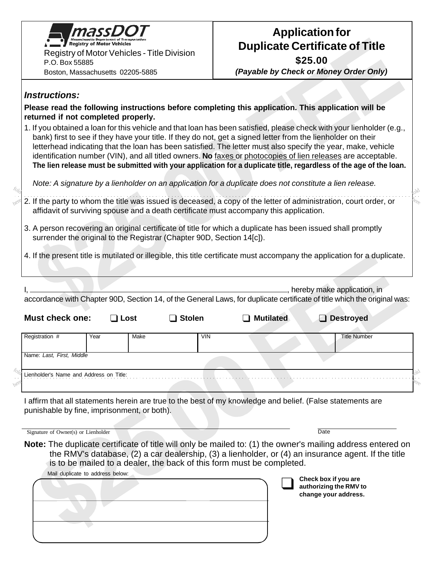

## **Application for Duplicate Certificate of Title**

**\$25.00**

here

fold

*(Payable by Check or Money Order Only)*

## *Instructions:*

**Please read the following instructions before completing this application. This application will be returned if not completed properly.**

1. If you obtained a loan for this vehicle and that loan has been satisfied, please check with your lienholder (e.g., bank) first to see if they have your title. If they do not, get a signed letter from the lienholder on their letterhead indicating that the loan has been satisfied. The letter must also specify the year, make, vehicle identification number (VIN), and all titled owners. **No** faxes or photocopies of lien releases are acceptable. **The lien release must be submitted with your application for a duplicate title, regardless of the age of the loan.**

*Note: A signature by a lienholder on an application for a duplicate does not constitute a lien release.*

- 2. If the party to whom the title was issued is deceased, a copy of the letter of administration, court order, or affidavit of surviving spouse and a death certificate must accompany this application. here  $f_{O_{Q}}$ 
	- 3. A person recovering an original certificate of title for which a duplicate has been issued shall promptly surrender the original to the Registrar (Chapter 90D, Section 14[c]).

4. If the present title is mutilated or illegible, this title certificate must accompany the application for a duplicate.

|                           |             |                    |                  | hereby make application, in<br>accordance with Chapter 90D, Section 14, of the General Laws, for duplicate certificate of title which the original was: |  |
|---------------------------|-------------|--------------------|------------------|---------------------------------------------------------------------------------------------------------------------------------------------------------|--|
| <b>Must check one:</b>    | Lost<br>- 1 | <b>Stolen</b>      | <b>Mutilated</b> | <b>Destroyed</b>                                                                                                                                        |  |
| Registration #            | Year        | Make<br><b>VIN</b> |                  | <b>Title Number</b>                                                                                                                                     |  |
| Name: Last, First, Middle |             |                    |                  |                                                                                                                                                         |  |

I affirm that all statements herein are true to the best of my knowledge and belief. (False statements are punishable by fine, imprisonment, or both).

| Signature of Owner(s) or Lienholder                                                                                                                                                                                                                                                         | Date                                                                   |
|---------------------------------------------------------------------------------------------------------------------------------------------------------------------------------------------------------------------------------------------------------------------------------------------|------------------------------------------------------------------------|
| Note: The duplicate certificate of title will only be mailed to: (1) the owner's mailing address entered on<br>the RMV's database, (2) a car dealership, (3) a lienholder, or (4) an insurance agent. If the title<br>is to be mailed to a dealer, the back of this form must be completed. |                                                                        |
| Mail duplicate to address below:                                                                                                                                                                                                                                                            | Check box if you are<br>authorizing the RMV to<br>change your address. |
|                                                                                                                                                                                                                                                                                             |                                                                        |